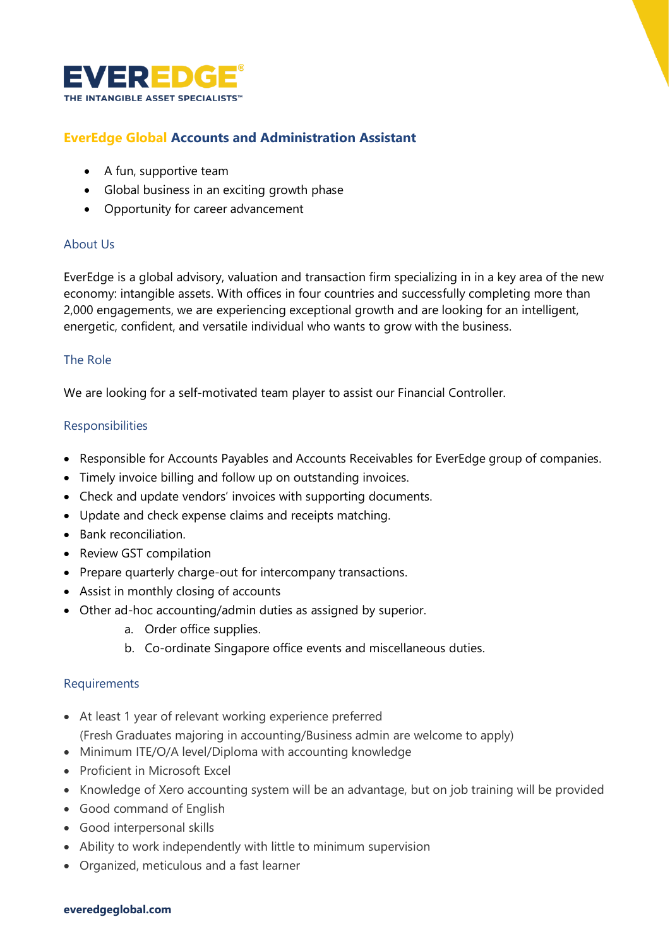

# **EverEdge Global Accounts and Administration Assistant**

- A fun, supportive team
- Global business in an exciting growth phase
- Opportunity for career advancement

#### About Us

EverEdge is a global advisory, valuation and transaction firm specializing in in a key area of the new economy: intangible assets. With offices in four countries and successfully completing more than 2,000 engagements, we are experiencing exceptional growth and are looking for an intelligent, energetic, confident, and versatile individual who wants to grow with the business.

# The Role

We are looking for a self-motivated team player to assist our Financial Controller.

# **Responsibilities**

- Responsible for Accounts Payables and Accounts Receivables for EverEdge group of companies.
- Timely invoice billing and follow up on outstanding invoices.
- Check and update vendors' invoices with supporting documents.
- Update and check expense claims and receipts matching.
- Bank reconciliation.
- Review GST compilation
- Prepare quarterly charge-out for intercompany transactions.
- Assist in monthly closing of accounts
- Other ad-hoc accounting/admin duties as assigned by superior.
	- a. Order office supplies.
	- b. Co-ordinate Singapore office events and miscellaneous duties.

#### Requirements

- At least 1 year of relevant working experience preferred
- (Fresh Graduates majoring in accounting/Business admin are welcome to apply)
- Minimum ITE/O/A level/Diploma with accounting knowledge
- Proficient in Microsoft Excel
- Knowledge of Xero accounting system will be an advantage, but on job training will be provided
- Good command of English
- Good interpersonal skills
- Ability to work independently with little to minimum supervision
- Organized, meticulous and a fast learner

#### **everedgeglobal.com**